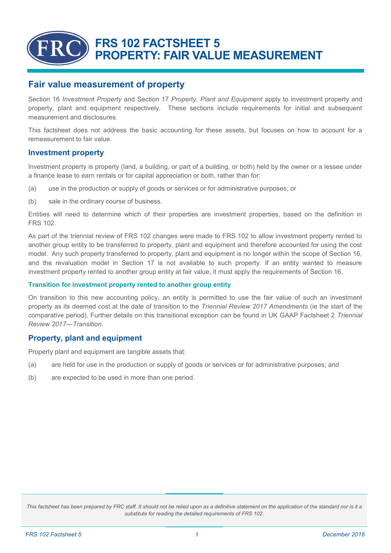# **FRS 102 FACTSHEET 5 PROPERTY: FAIR VALUE MEASUREMENT**

## **Fair value measurement of property**

Section 16 *Investment Property* and Section 17 *Property, Plant and Equipment* apply to investment property and property, plant and equipment respectively. These sections include requirements for initial and subsequent measurement and disclosures.

This factsheet does not address the basic accounting for these assets, but focuses on how to account for a remeasurement to fair value.

#### **Investment property**

Investment property is property (land, a building, or part of a building, or both) held by the owner or a lessee under a finance lease to earn rentals or for capital appreciation or both, rather than for:

- (a) use in the production or supply of goods or services or for administrative purposes; or
- (b) sale in the ordinary course of business.

Entities will need to determine which of their properties are investment properties, based on the definition in FRS 102.

As part of the triennial review of FRS 102 changes were made to FRS 102 to allow investment property rented to another group entity to be transferred to property, plant and equipment and therefore accounted for using the cost model. Any such property transferred to property, plant and equipment is no longer within the scope of Section 16, and the revaluation model in Section 17 is not available to such property. If an entity wanted to measure investment property rented to another group entity at fair value, it must apply the requirements of Section 16.

#### **Transition for investment property rented to another group entity**

On transition to this new accounting policy, an entity is permitted to use the fair value of such an investment property as its deemed cost at the date of transition to the *Triennial Review 2017 Amendments* (ie the start of the comparative period). Further details on this transitional exception can be found in UK GAAP Factsheet 2 *Triennial Review 2017—Transition*.

### **Property, plant and equipment**

Property plant and equipment are tangible assets that:

- (a) are held for use in the production or supply of goods or services or for administrative purposes; and
- (b) are expected to be used in more than one period.

This factsheet has been prepared by FRC staff. It should not be relied upon as a definitive statement on the application of the standard nor is it a *substitute for reading the detailed requirements of FRS 102.*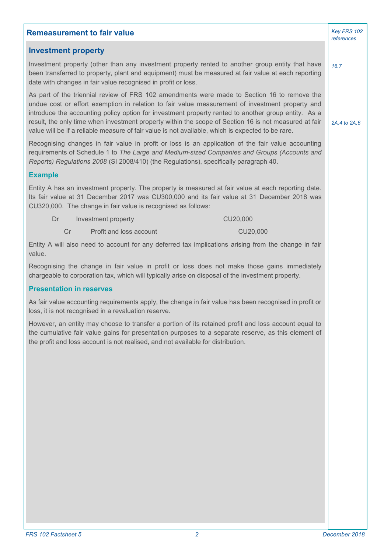| <b>Remeasurement to fair value</b>                                                                                                                                                                                                                                                                                                                                                                                                                                                                                  | Key FRS 102<br>references |
|---------------------------------------------------------------------------------------------------------------------------------------------------------------------------------------------------------------------------------------------------------------------------------------------------------------------------------------------------------------------------------------------------------------------------------------------------------------------------------------------------------------------|---------------------------|
| <b>Investment property</b>                                                                                                                                                                                                                                                                                                                                                                                                                                                                                          |                           |
| Investment property (other than any investment property rented to another group entity that have<br>been transferred to property, plant and equipment) must be measured at fair value at each reporting<br>date with changes in fair value recognised in profit or loss.                                                                                                                                                                                                                                            | 16.7                      |
| As part of the triennial review of FRS 102 amendments were made to Section 16 to remove the<br>undue cost or effort exemption in relation to fair value measurement of investment property and<br>introduce the accounting policy option for investment property rented to another group entity. As a<br>result, the only time when investment property within the scope of Section 16 is not measured at fair<br>value will be if a reliable measure of fair value is not available, which is expected to be rare. | 2A.4 to 2A.6              |
| Recognising changes in fair value in profit or loss is an application of the fair value accounting<br>requirements of Schedule 1 to The Large and Medium-sized Companies and Groups (Accounts and<br>Reports) Regulations 2008 (SI 2008/410) (the Regulations), specifically paragraph 40.                                                                                                                                                                                                                          |                           |
| <b>Example</b>                                                                                                                                                                                                                                                                                                                                                                                                                                                                                                      |                           |
| Entity A has an investment property. The property is measured at fair value at each reporting date.<br>Its fair value at 31 December 2017 was CU300,000 and its fair value at 31 December 2018 was<br>CU320,000. The change in fair value is recognised as follows:                                                                                                                                                                                                                                                 |                           |
| Dr<br>CU20,000<br>Investment property                                                                                                                                                                                                                                                                                                                                                                                                                                                                               |                           |
| Cr<br>Profit and loss account<br>CU20,000                                                                                                                                                                                                                                                                                                                                                                                                                                                                           |                           |
| Entity A will also need to account for any deferred tax implications arising from the change in fair<br>value.                                                                                                                                                                                                                                                                                                                                                                                                      |                           |
| Recognising the change in fair value in profit or loss does not make those gains immediately<br>chargeable to corporation tax, which will typically arise on disposal of the investment property.                                                                                                                                                                                                                                                                                                                   |                           |
| <b>Presentation in reserves</b>                                                                                                                                                                                                                                                                                                                                                                                                                                                                                     |                           |
| As fair value accounting requirements apply, the change in fair value has been recognised in profit or<br>loss, it is not recognised in a revaluation reserve.                                                                                                                                                                                                                                                                                                                                                      |                           |
| However, an entity may choose to transfer a portion of its retained profit and loss account equal to<br>the cumulative fair value gains for presentation purposes to a separate reserve, as this element of<br>the profit and loss account is not realised, and not available for distribution.                                                                                                                                                                                                                     |                           |
|                                                                                                                                                                                                                                                                                                                                                                                                                                                                                                                     |                           |
|                                                                                                                                                                                                                                                                                                                                                                                                                                                                                                                     |                           |
|                                                                                                                                                                                                                                                                                                                                                                                                                                                                                                                     |                           |
|                                                                                                                                                                                                                                                                                                                                                                                                                                                                                                                     |                           |
|                                                                                                                                                                                                                                                                                                                                                                                                                                                                                                                     |                           |
|                                                                                                                                                                                                                                                                                                                                                                                                                                                                                                                     |                           |
|                                                                                                                                                                                                                                                                                                                                                                                                                                                                                                                     |                           |
|                                                                                                                                                                                                                                                                                                                                                                                                                                                                                                                     |                           |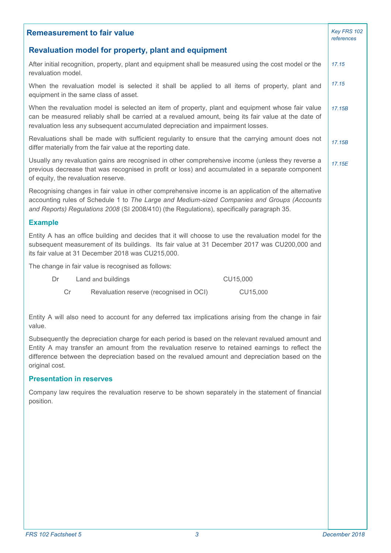| <b>Remeasurement to fair value</b>                                                                                                                                                                                                                                                                                        | Key FRS 102<br>references |
|---------------------------------------------------------------------------------------------------------------------------------------------------------------------------------------------------------------------------------------------------------------------------------------------------------------------------|---------------------------|
| <b>Revaluation model for property, plant and equipment</b>                                                                                                                                                                                                                                                                |                           |
| After initial recognition, property, plant and equipment shall be measured using the cost model or the<br>revaluation model.                                                                                                                                                                                              | 17.15                     |
| When the revaluation model is selected it shall be applied to all items of property, plant and<br>equipment in the same class of asset.                                                                                                                                                                                   | 17.15                     |
| When the revaluation model is selected an item of property, plant and equipment whose fair value<br>can be measured reliably shall be carried at a revalued amount, being its fair value at the date of<br>revaluation less any subsequent accumulated depreciation and impairment losses.                                | 17.15B                    |
| Revaluations shall be made with sufficient regularity to ensure that the carrying amount does not<br>differ materially from the fair value at the reporting date.                                                                                                                                                         | 17.15B                    |
| Usually any revaluation gains are recognised in other comprehensive income (unless they reverse a<br>previous decrease that was recognised in profit or loss) and accumulated in a separate component<br>of equity, the revaluation reserve.                                                                              | 17.15E                    |
| Recognising changes in fair value in other comprehensive income is an application of the alternative<br>accounting rules of Schedule 1 to The Large and Medium-sized Companies and Groups (Accounts<br>and Reports) Regulations 2008 (SI 2008/410) (the Regulations), specifically paragraph 35.                          |                           |
| <b>Example</b>                                                                                                                                                                                                                                                                                                            |                           |
| Entity A has an office building and decides that it will choose to use the revaluation model for the<br>subsequent measurement of its buildings. Its fair value at 31 December 2017 was CU200,000 and<br>its fair value at 31 December 2018 was CU215,000.                                                                |                           |
| The change in fair value is recognised as follows:                                                                                                                                                                                                                                                                        |                           |
| Land and buildings<br>CU15,000<br>Dr                                                                                                                                                                                                                                                                                      |                           |
| CU15,000<br>Cr<br>Revaluation reserve (recognised in OCI)                                                                                                                                                                                                                                                                 |                           |
| Entity A will also need to account for any deferred tax implications arising from the change in fair<br>value.                                                                                                                                                                                                            |                           |
| Subsequently the depreciation charge for each period is based on the relevant revalued amount and<br>Entity A may transfer an amount from the revaluation reserve to retained earnings to reflect the<br>difference between the depreciation based on the revalued amount and depreciation based on the<br>original cost. |                           |
| <b>Presentation in reserves</b>                                                                                                                                                                                                                                                                                           |                           |
| Company law requires the revaluation reserve to be shown separately in the statement of financial<br>position.                                                                                                                                                                                                            |                           |
|                                                                                                                                                                                                                                                                                                                           |                           |
|                                                                                                                                                                                                                                                                                                                           |                           |
|                                                                                                                                                                                                                                                                                                                           |                           |